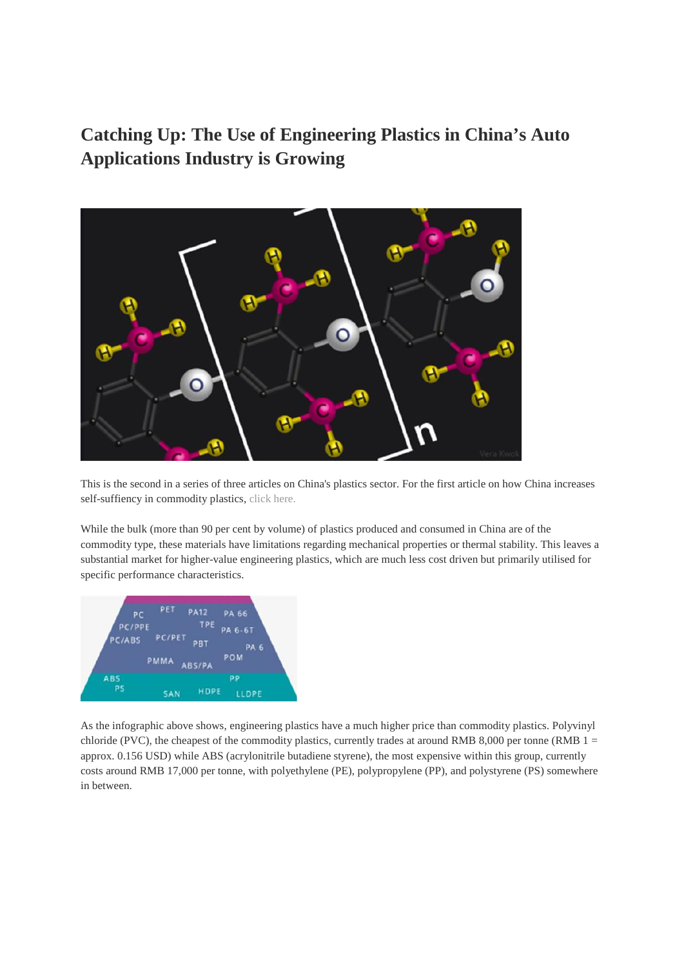**Catching Up: The Use of Engineering Plastics in China's Auto Applications Industry is Growing**



This is the second in a series of three articles on China's plastics sector. For the first article on how China increases self-suffiency in commodity plastics, click here.

While the bulk (more than 90 per cent by volume) of plastics produced and consumed in China are of the commodity type, these materials have limitations regarding mechanical properties or thermal stability. This leaves a substantial market for higher-value engineering plastics, which are much less cost driven but primarily utilised for specific performance characteristics.



As the infographic above shows, engineering plastics have a much higher price than commodity plastics. Polyvinyl chloride (PVC), the cheapest of the commodity plastics, currently trades at around RMB 8,000 per tonne (RMB  $1 =$ approx. 0.156 USD) while ABS (acrylonitrile butadiene styrene), the most expensive within this group, currently costs around RMB 17,000 per tonne, with polyethylene (PE), polypropylene (PP), and polystyrene (PS) somewhere in between.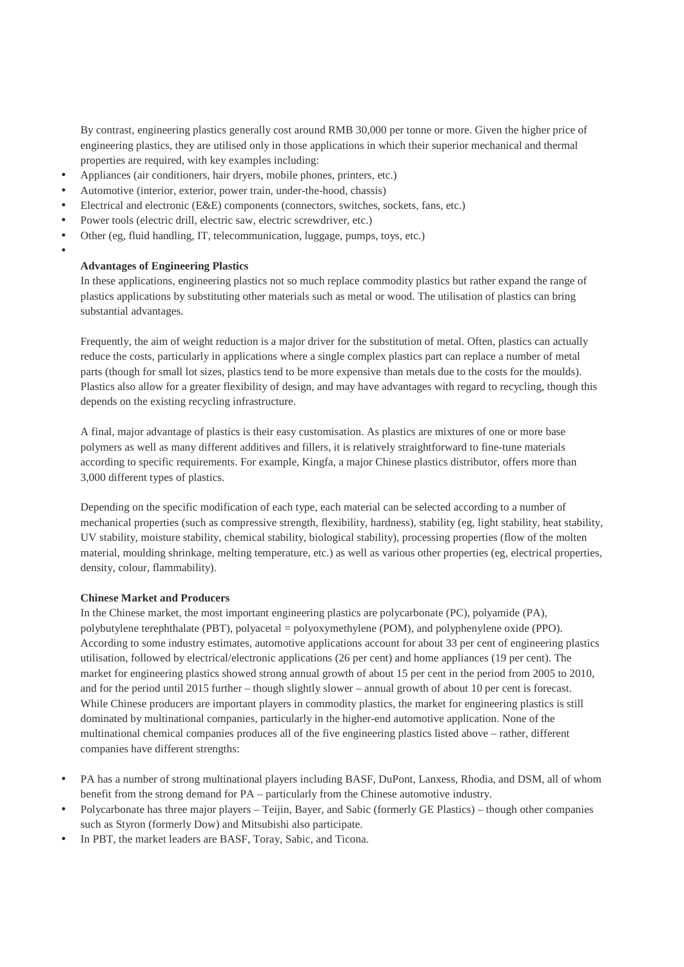By contrast, engineering plastics generally cost around RMB 30,000 per tonne or more. Given the higher price of engineering plastics, they are utilised only in those applications in which their superior mechanical and thermal properties are required, with key examples including:

- Appliances (air conditioners, hair dryers, mobile phones, printers, etc.)
- Automotive (interior, exterior, power train, under-the-hood, chassis)
- Electrical and electronic (E&E) components (connectors, switches, sockets, fans, etc.)
- Power tools (electric drill, electric saw, electric screwdriver, etc.)
- Other (eg, fluid handling, IT, telecommunication, luggage, pumps, toys, etc.)
- $\bullet$  and  $\bullet$

## **Advantages of Engineering Plastics**

In these applications, engineering plastics not so much replace commodity plastics but rather expand the range of plastics applications by substituting other materials such as metal or wood. The utilisation of plastics can bring substantial advantages.

Frequently, the aim of weight reduction is a major driver for the substitution of metal. Often, plastics can actually reduce the costs, particularly in applications where a single complex plastics part can replace a number of metal parts (though for small lot sizes, plastics tend to be more expensive than metals due to the costs for the moulds). Plastics also allow for a greater flexibility of design, and may have advantages with regard to recycling, though this depends on the existing recycling infrastructure.

A final, major advantage of plastics is their easy customisation. As plastics are mixtures of one or more base polymers as well as many different additives and fillers, it is relatively straightforward to fine-tune materials according to specific requirements. For example, Kingfa, a major Chinese plastics distributor, offers more than 3,000 different types of plastics.

Depending on the specific modification of each type, each material can be selected according to a number of mechanical properties (such as compressive strength, flexibility, hardness), stability (eg, light stability, heat stability, UV stability, moisture stability, chemical stability, biological stability), processing properties (flow of the molten material, moulding shrinkage, melting temperature, etc.) as well as various other properties (eg, electrical properties, density, colour, flammability).

## **Chinese Market and Producers**

In the Chinese market, the most important engineering plastics are polycarbonate (PC), polyamide (PA), polybutylene terephthalate (PBT), polyacetal = polyoxymethylene (POM), and polyphenylene oxide (PPO). According to some industry estimates, automotive applications account for about 33 per cent of engineering plastics utilisation, followed by electrical/electronic applications (26 per cent) and home appliances (19 per cent). The market for engineering plastics showed strong annual growth of about 15 per cent in the period from 2005 to 2010, and for the period until 2015 further – though slightly slower – annual growth of about 10 per cent is forecast. While Chinese producers are important players in commodity plastics, the market for engineering plastics is still dominated by multinational companies, particularly in the higher-end automotive application. None of the multinational chemical companies produces all of the five engineering plastics listed above – rather, different companies have different strengths:

- PA has a number of strong multinational players including BASF, DuPont, Lanxess, Rhodia, and DSM, all of whom benefit from the strong demand for PA – particularly from the Chinese automotive industry.
- Polycarbonate has three major players Teijin, Bayer, and Sabic (formerly GE Plastics) though other companies such as Styron (formerly Dow) and Mitsubishi also participate.
- In PBT, the market leaders are BASF, Toray, Sabic, and Ticona.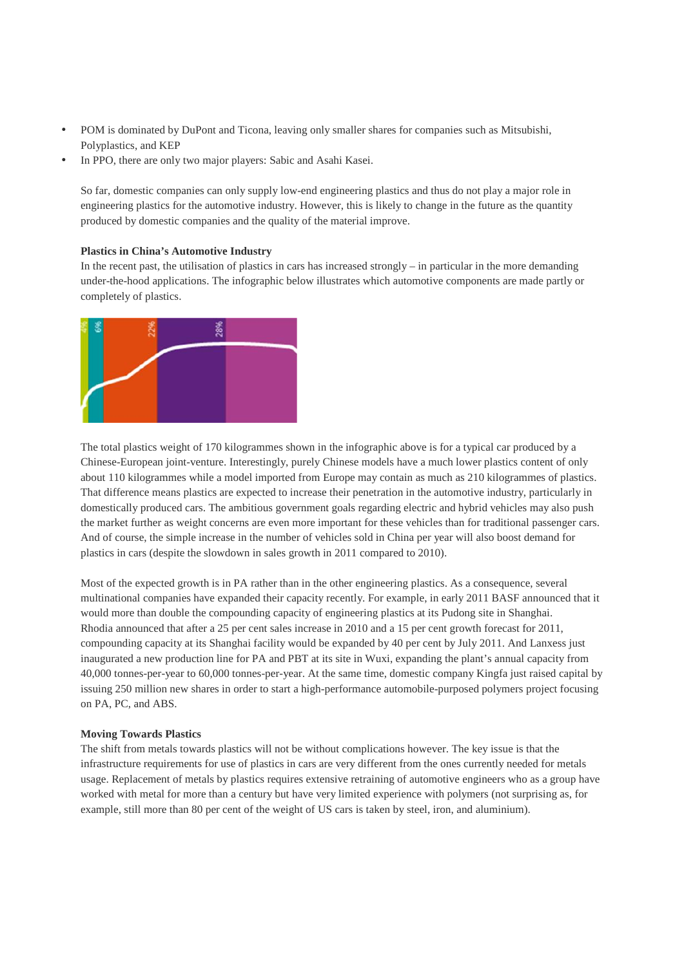- POM is dominated by DuPont and Ticona, leaving only smaller shares for companies such as Mitsubishi, Polyplastics, and KEP
- In PPO, there are only two major players: Sabic and Asahi Kasei.

So far, domestic companies can only supply low-end engineering plastics and thus do not play a major role in engineering plastics for the automotive industry. However, this is likely to change in the future as the quantity produced by domestic companies and the quality of the material improve.

## **Plastics in China's Automotive Industry**

In the recent past, the utilisation of plastics in cars has increased strongly – in particular in the more demanding under-the-hood applications. The infographic below illustrates which automotive components are made partly or completely of plastics.



The total plastics weight of 170 kilogrammes shown in the infographic above is for a typical car produced by a Chinese-European joint-venture. Interestingly, purely Chinese models have a much lower plastics content of only about 110 kilogrammes while a model imported from Europe may contain as much as 210 kilogrammes of plastics. That difference means plastics are expected to increase their penetration in the automotive industry, particularly in domestically produced cars. The ambitious government goals regarding electric and hybrid vehicles may also push the market further as weight concerns are even more important for these vehicles than for traditional passenger cars. And of course, the simple increase in the number of vehicles sold in China per year will also boost demand for plastics in cars (despite the slowdown in sales growth in 2011 compared to 2010).

Most of the expected growth is in PA rather than in the other engineering plastics. As a consequence, several multinational companies have expanded their capacity recently. For example, in early 2011 BASF announced that it would more than double the compounding capacity of engineering plastics at its Pudong site in Shanghai. Rhodia announced that after a 25 per cent sales increase in 2010 and a 15 per cent growth forecast for 2011, compounding capacity at its Shanghai facility would be expanded by 40 per cent by July 2011. And Lanxess just inaugurated a new production line for PA and PBT at its site in Wuxi, expanding the plant's annual capacity from 40,000 tonnes-per-year to 60,000 tonnes-per-year. At the same time, domestic company Kingfa just raised capital by issuing 250 million new shares in order to start a high-performance automobile-purposed polymers project focusing on PA, PC, and ABS.

## **Moving Towards Plastics**

The shift from metals towards plastics will not be without complications however. The key issue is that the infrastructure requirements for use of plastics in cars are very different from the ones currently needed for metals usage. Replacement of metals by plastics requires extensive retraining of automotive engineers who as a group have worked with metal for more than a century but have very limited experience with polymers (not surprising as, for example, still more than 80 per cent of the weight of US cars is taken by steel, iron, and aluminium).